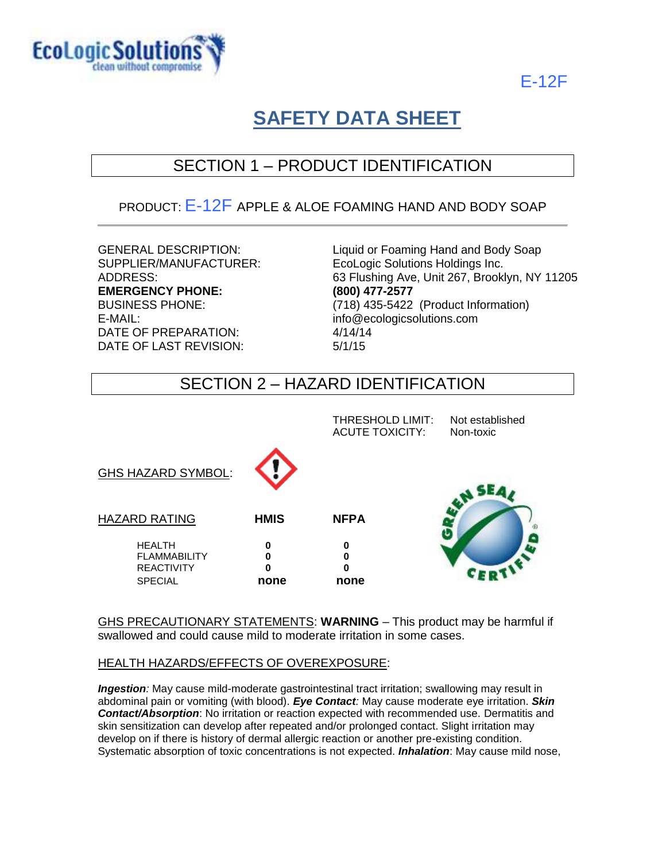

E-12F

# **SAFETY DATA SHEET**

## SECTION 1 – PRODUCT IDENTIFICATION

### PRODUCT:  $E - 12F$  APPLE & ALOE FOAMING HAND AND BODY SOAP

**EMERGENCY PHONE: (800) 477-2577** E-MAIL: info@ecologicsolutions.com DATE OF PREPARATION: 4/14/14 DATE OF LAST REVISION: 5/1/15

GENERAL DESCRIPTION:<br>
SUPPLIER/MANUFACTURER: EcoLogic Solutions Holdings Inc. EcoLogic Solutions Holdings Inc. ADDRESS: 63 Flushing Ave, Unit 267, Brooklyn, NY 11205 BUSINESS PHONE: (718) 435-5422 (Product Information)

### SECTION 2 – HAZARD IDENTIFICATION

|                                                                             |                            | THRESHOLD LIMIT:<br><b>ACUTE TOXICITY:</b> | Not established<br>Non-toxic |
|-----------------------------------------------------------------------------|----------------------------|--------------------------------------------|------------------------------|
| <b>GHS HAZARD SYMBOL:</b>                                                   |                            |                                            |                              |
| <b>HAZARD RATING</b>                                                        | <b>HMIS</b>                | <b>NFPA</b>                                |                              |
| <b>HEALTH</b><br><b>FLAMMABILITY</b><br><b>REACTIVITY</b><br><b>SPECIAL</b> | 0<br>0<br>$\bf{0}$<br>none | 0<br>0<br>0<br>none                        |                              |

GHS PRECAUTIONARY STATEMENTS: **WARNING** – This product may be harmful if swallowed and could cause mild to moderate irritation in some cases.

### HEALTH HAZARDS/EFFECTS OF OVEREXPOSURE:

*Ingestion:* May cause mild-moderate gastrointestinal tract irritation; swallowing may result in abdominal pain or vomiting (with blood). *Eye Contact:* May cause moderate eye irritation. *Skin Contact/Absorption*: No irritation or reaction expected with recommended use. Dermatitis and skin sensitization can develop after repeated and/or prolonged contact. Slight irritation may develop on if there is history of dermal allergic reaction or another pre-existing condition. Systematic absorption of toxic concentrations is not expected. *Inhalation*: May cause mild nose,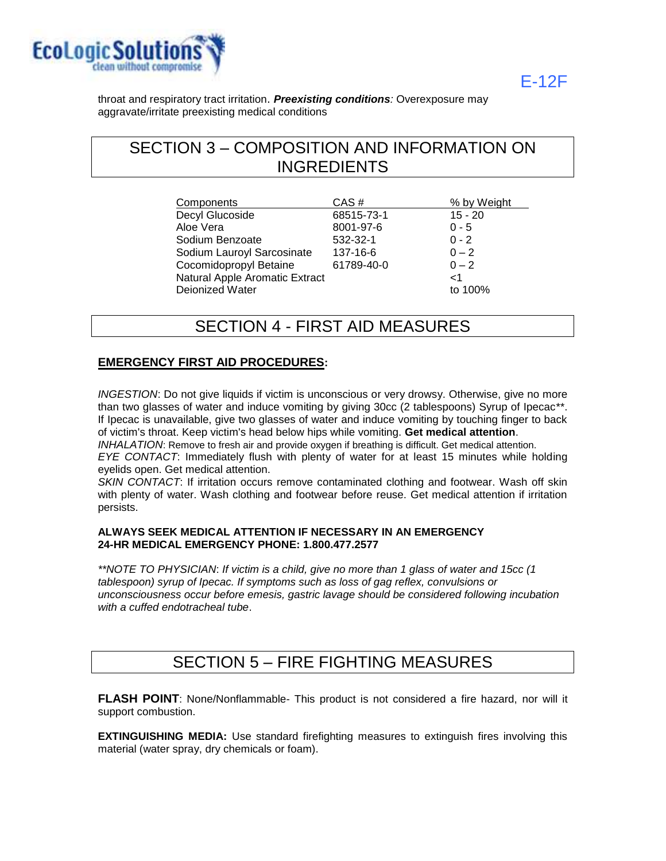

E-12F

throat and respiratory tract irritation. *Preexisting conditions:* Overexposure may aggravate/irritate preexisting medical conditions

### SECTION 3 – COMPOSITION AND INFORMATION ON INGREDIENTS

| Components                     | CAS#       | % by Weight |
|--------------------------------|------------|-------------|
| Decyl Glucoside                | 68515-73-1 | $15 - 20$   |
| Aloe Vera                      | 8001-97-6  | $0 - 5$     |
| Sodium Benzoate                | 532-32-1   | $0 - 2$     |
| Sodium Lauroyl Sarcosinate     | 137-16-6   | $0 - 2$     |
| Cocomidopropyl Betaine         | 61789-40-0 | $0 - 2$     |
| Natural Apple Aromatic Extract |            | 1>          |
| Deionized Water                |            | to 100%     |

### SECTION 4 - FIRST AID MEASURES

### **EMERGENCY FIRST AID PROCEDURES:**

*INGESTION*: Do not give liquids if victim is unconscious or very drowsy. Otherwise, give no more than two glasses of water and induce vomiting by giving 30cc (2 tablespoons) Syrup of Ipecac\*\*. If Ipecac is unavailable, give two glasses of water and induce vomiting by touching finger to back of victim's throat. Keep victim's head below hips while vomiting. **Get medical attention**.

*INHALATION*: Remove to fresh air and provide oxygen if breathing is difficult. Get medical attention. *EYE CONTACT*: Immediately flush with plenty of water for at least 15 minutes while holding

eyelids open. Get medical attention.

*SKIN CONTACT*: If irritation occurs remove contaminated clothing and footwear. Wash off skin with plenty of water. Wash clothing and footwear before reuse. Get medical attention if irritation persists.

#### **ALWAYS SEEK MEDICAL ATTENTION IF NECESSARY IN AN EMERGENCY 24-HR MEDICAL EMERGENCY PHONE: 1.800.477.2577**

*\*\*NOTE TO PHYSICIAN*: *If victim is a child, give no more than 1 glass of water and 15cc (1 tablespoon) syrup of Ipecac. If symptoms such as loss of gag reflex, convulsions or unconsciousness occur before emesis, gastric lavage should be considered following incubation with a cuffed endotracheal tube*.

### SECTION 5 – FIRE FIGHTING MEASURES

**FLASH POINT**: None/Nonflammable- This product is not considered a fire hazard, nor will it support combustion.

**EXTINGUISHING MEDIA:** Use standard firefighting measures to extinguish fires involving this material (water spray, dry chemicals or foam).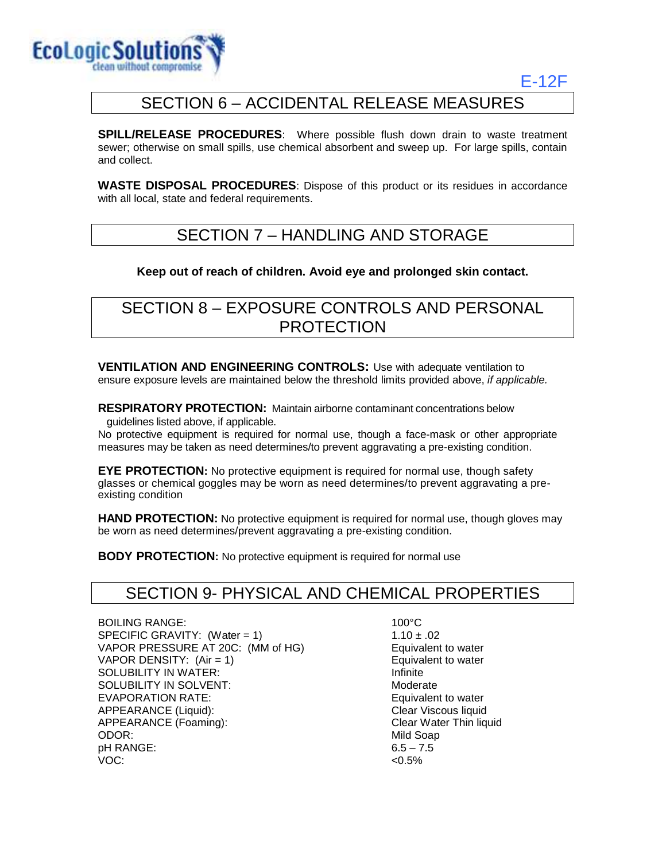

### E-12F

### SECTION 6 – ACCIDENTAL RELEASE MEASURES

**SPILL/RELEASE PROCEDURES:** Where possible flush down drain to waste treatment sewer; otherwise on small spills, use chemical absorbent and sweep up. For large spills, contain and collect.

**WASTE DISPOSAL PROCEDURES**: Dispose of this product or its residues in accordance with all local, state and federal requirements.

### SECTION 7 – HANDLING AND STORAGE

### **Keep out of reach of children. Avoid eye and prolonged skin contact.**

### SECTION 8 – EXPOSURE CONTROLS AND PERSONAL PROTECTION

**VENTILATION AND ENGINEERING CONTROLS:** Use with adequate ventilation to ensure exposure levels are maintained below the threshold limits provided above, *if applicable.*

**RESPIRATORY PROTECTION:** Maintain airborne contaminant concentrations below guidelines listed above, if applicable.

No protective equipment is required for normal use, though a face-mask or other appropriate measures may be taken as need determines/to prevent aggravating a pre-existing condition.

**EYE PROTECTION:** No protective equipment is required for normal use, though safety glasses or chemical goggles may be worn as need determines/to prevent aggravating a preexisting condition

**HAND PROTECTION:** No protective equipment is required for normal use, though gloves may be worn as need determines/prevent aggravating a pre-existing condition.

**BODY PROTECTION:** No protective equipment is required for normal use

### SECTION 9- PHYSICAL AND CHEMICAL PROPERTIES

BOILING RANGE: 100°C SPECIFIC GRAVITY: (Water = 1)  $1.10 \pm .02$ VAPOR PRESSURE AT 20C: (MM of HG) Equivalent to water VAPOR DENSITY: (Air = 1) Equivalent to water SOLUBILITY IN WATER: Infinite SOLUBILITY IN SOLVENT: The Moderate Moderate EVAPORATION RATE: Example of the Equivalent to water APPEARANCE (Liquid): Clear Viscous liquid APPEARANCE (Foaming): Clear Water Thin liquid ODOR: Nild Soap pH RANGE: VOC:

 $6.5 - 7.5$  $< 0.5\%$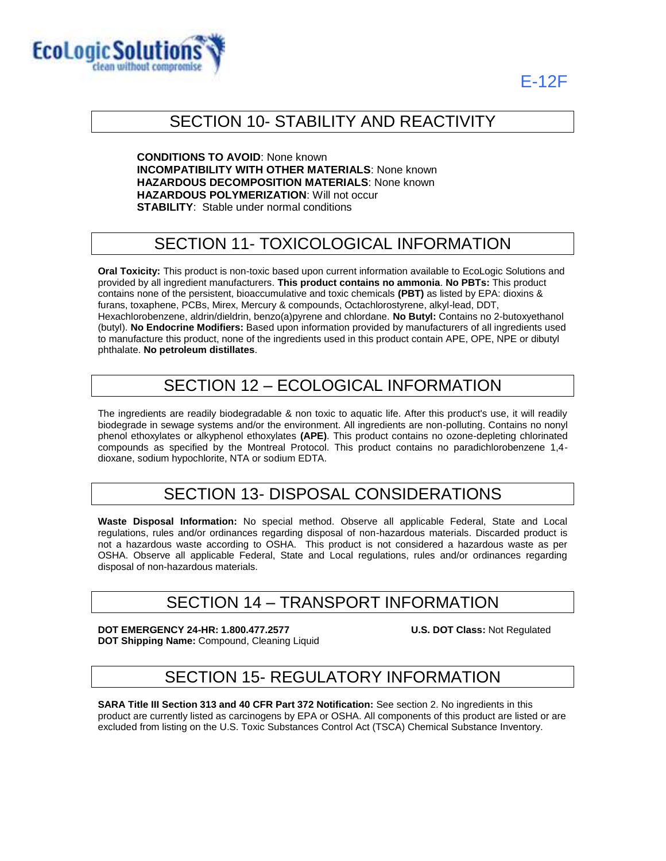



### SECTION 10- STABILITY AND REACTIVITY

**CONDITIONS TO AVOID**: None known **INCOMPATIBILITY WITH OTHER MATERIALS**: None known **HAZARDOUS DECOMPOSITION MATERIALS**: None known **HAZARDOUS POLYMERIZATION**: Will not occur **STABILITY**: Stable under normal conditions

# SECTION 11- TOXICOLOGICAL INFORMATION

**Oral Toxicity:** This product is non-toxic based upon current information available to EcoLogic Solutions and provided by all ingredient manufacturers. **This product contains no ammonia**. **No PBTs:** This product contains none of the persistent, bioaccumulative and toxic chemicals **(PBT)** as listed by EPA: dioxins & furans, toxaphene, PCBs, Mirex, Mercury & compounds, Octachlorostyrene, alkyl-lead, DDT, Hexachlorobenzene, aldrin/dieldrin, benzo(a)pyrene and chlordane. **No Butyl:** Contains no 2-butoxyethanol (butyl). **No Endocrine Modifiers:** Based upon information provided by manufacturers of all ingredients used to manufacture this product, none of the ingredients used in this product contain APE, OPE, NPE or dibutyl phthalate. **No petroleum distillates**.

### SECTION 12 – ECOLOGICAL INFORMATION

The ingredients are readily biodegradable & non toxic to aquatic life. After this product's use, it will readily biodegrade in sewage systems and/or the environment. All ingredients are non-polluting. Contains no nonyl phenol ethoxylates or alkyphenol ethoxylates **(APE)**. This product contains no ozone-depleting chlorinated compounds as specified by the Montreal Protocol. This product contains no paradichlorobenzene 1,4 dioxane, sodium hypochlorite, NTA or sodium EDTA.

### SECTION 13- DISPOSAL CONSIDERATIONS

**Waste Disposal Information:** No special method. Observe all applicable Federal, State and Local regulations, rules and/or ordinances regarding disposal of non-hazardous materials. Discarded product is not a hazardous waste according to OSHA. This product is not considered a hazardous waste as per OSHA. Observe all applicable Federal, State and Local regulations, rules and/or ordinances regarding disposal of non-hazardous materials.

### SECTION 14 – TRANSPORT INFORMATION

**DOT EMERGENCY 24-HR: 1.800.477.2577 U.S. DOT Class:** Not Regulated **DOT Shipping Name:** Compound, Cleaning Liquid

### SECTION 15- REGULATORY INFORMATION

**SARA Title III Section 313 and 40 CFR Part 372 Notification:** See section 2. No ingredients in this product are currently listed as carcinogens by EPA or OSHA. All components of this product are listed or are excluded from listing on the U.S. Toxic Substances Control Act (TSCA) Chemical Substance Inventory.